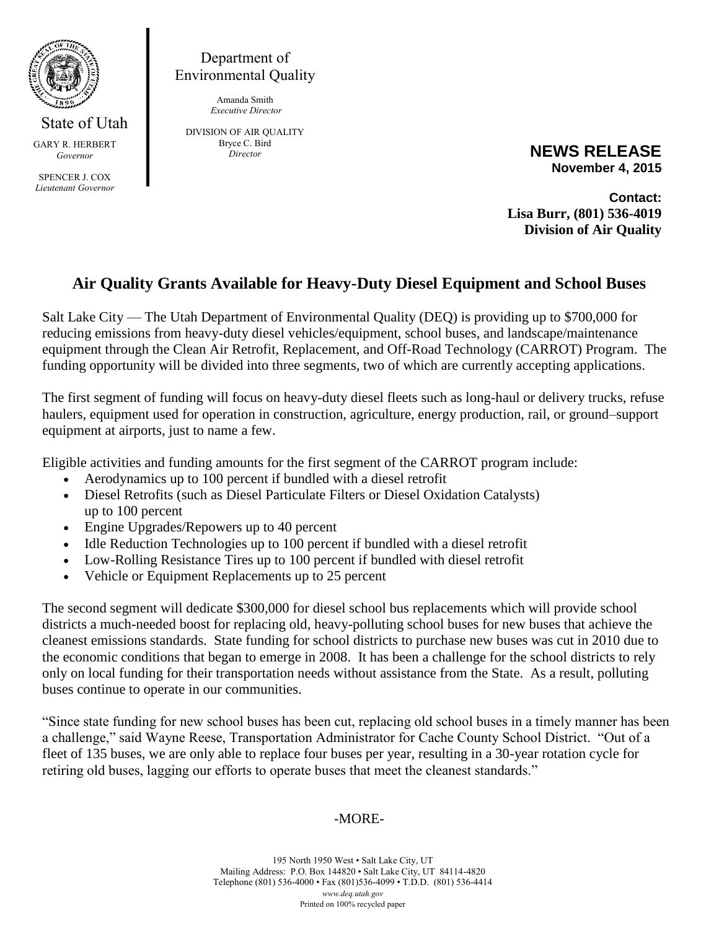

GARY R. HERBERT *Governor*

SPENCER J. COX *Lieutenant Governor*

Department of Environmental Quality

> Amanda Smith *Executive Director*

DIVISION OF AIR QUALITY Bryce C. Bird *Director*

**NEWS RELEASE November 4, 2015**

**Contact: Lisa Burr, (801) 536-4019 Division of Air Quality**

## **Air Quality Grants Available for Heavy-Duty Diesel Equipment and School Buses**

Salt Lake City — The Utah Department of Environmental Quality (DEQ) is providing up to \$700,000 for reducing emissions from heavy-duty diesel vehicles/equipment, school buses, and landscape/maintenance equipment through the Clean Air Retrofit, Replacement, and Off-Road Technology (CARROT) Program. The funding opportunity will be divided into three segments, two of which are currently accepting applications.

The first segment of funding will focus on heavy-duty diesel fleets such as long-haul or delivery trucks, refuse haulers, equipment used for operation in construction, agriculture, energy production, rail, or ground–support equipment at airports, just to name a few.

Eligible activities and funding amounts for the first segment of the CARROT program include:

- Aerodynamics up to 100 percent if bundled with a diesel retrofit
- Diesel Retrofits (such as Diesel Particulate Filters or Diesel Oxidation Catalysts) up to 100 percent
- Engine Upgrades/Repowers up to 40 percent
- Idle Reduction Technologies up to 100 percent if bundled with a diesel retrofit
- Low-Rolling Resistance Tires up to 100 percent if bundled with diesel retrofit
- Vehicle or Equipment Replacements up to 25 percent

The second segment will dedicate \$300,000 for diesel school bus replacements which will provide school districts a much-needed boost for replacing old, heavy-polluting school buses for new buses that achieve the cleanest emissions standards. State funding for school districts to purchase new buses was cut in 2010 due to the economic conditions that began to emerge in 2008. It has been a challenge for the school districts to rely only on local funding for their transportation needs without assistance from the State. As a result, polluting buses continue to operate in our communities.

"Since state funding for new school buses has been cut, replacing old school buses in a timely manner has been a challenge," said Wayne Reese, Transportation Administrator for Cache County School District. "Out of a fleet of 135 buses, we are only able to replace four buses per year, resulting in a 30-year rotation cycle for retiring old buses, lagging our efforts to operate buses that meet the cleanest standards."

## -MORE-

195 North 1950 West • Salt Lake City, UT Mailing Address: P.O. Box 144820 • Salt Lake City, UT 84114-4820 Telephone (801) 536-4000 • Fax (801)536-4099 • T.D.D. (801) 536-4414 *www.deq.utah.gov* Printed on 100% recycled paper